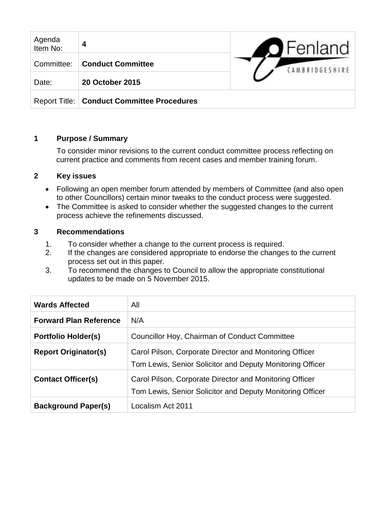| Agenda<br>Item No: | 4                                            | $\bigcirc$ Fenland |
|--------------------|----------------------------------------------|--------------------|
| Committee:         | <b>Conduct Committee</b>                     | CAMBRIDGESHIRE     |
| Date:              | <b>20 October 2015</b>                       |                    |
|                    | Report Title:   Conduct Committee Procedures |                    |

# **1 Purpose / Summary**

To consider minor revisions to the current conduct committee process reflecting on current practice and comments from recent cases and member training forum.

### **2 Key issues**

- Following an open member forum attended by members of Committee (and also open to other Councillors) certain minor tweaks to the conduct process were suggested.
- The Committee is asked to consider whether the suggested changes to the current process achieve the refinements discussed.

### **3 Recommendations**

- 1. To consider whether a change to the current process is required.
- 2. If the changes are considered appropriate to endorse the changes to the current process set out in this paper.
- 3. To recommend the changes to Council to allow the appropriate constitutional updates to be made on 5 November 2015.

| <b>Wards Affected</b>         | All                                                                                                                  |
|-------------------------------|----------------------------------------------------------------------------------------------------------------------|
| <b>Forward Plan Reference</b> | N/A                                                                                                                  |
| <b>Portfolio Holder(s)</b>    | Councillor Hoy, Chairman of Conduct Committee                                                                        |
| <b>Report Originator(s)</b>   | Carol Pilson, Corporate Director and Monitoring Officer<br>Tom Lewis, Senior Solicitor and Deputy Monitoring Officer |
| <b>Contact Officer(s)</b>     | Carol Pilson, Corporate Director and Monitoring Officer<br>Tom Lewis, Senior Solicitor and Deputy Monitoring Officer |
| <b>Background Paper(s)</b>    | Localism Act 2011                                                                                                    |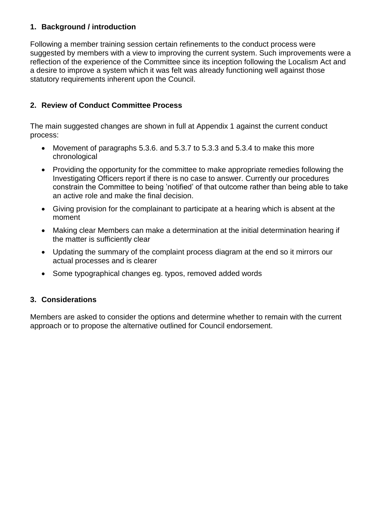# **1. Background / introduction**

Following a member training session certain refinements to the conduct process were suggested by members with a view to improving the current system. Such improvements were a reflection of the experience of the Committee since its inception following the Localism Act and a desire to improve a system which it was felt was already functioning well against those statutory requirements inherent upon the Council.

# **2. Review of Conduct Committee Process**

The main suggested changes are shown in full at Appendix 1 against the current conduct process:

- Movement of paragraphs 5.3.6. and 5.3.7 to 5.3.3 and 5.3.4 to make this more chronological
- Providing the opportunity for the committee to make appropriate remedies following the Investigating Officers report if there is no case to answer. Currently our procedures constrain the Committee to being 'notified' of that outcome rather than being able to take an active role and make the final decision.
- Giving provision for the complainant to participate at a hearing which is absent at the moment
- Making clear Members can make a determination at the initial determination hearing if the matter is sufficiently clear
- Updating the summary of the complaint process diagram at the end so it mirrors our actual processes and is clearer
- Some typographical changes eg. typos, removed added words

# **3. Considerations**

Members are asked to consider the options and determine whether to remain with the current approach or to propose the alternative outlined for Council endorsement.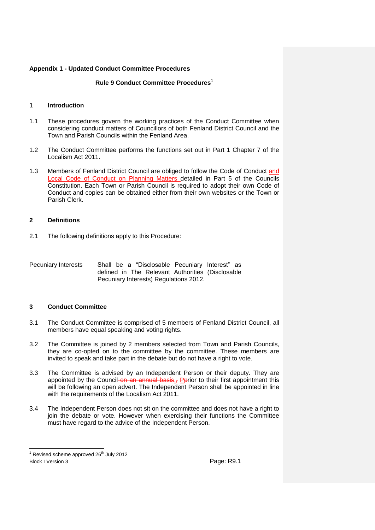### **Rule 9 Conduct Committee Procedures**<sup>1</sup>

### **1 Introduction**

- 1.1 These procedures govern the working practices of the Conduct Committee when considering conduct matters of Councillors of both Fenland District Council and the Town and Parish Councils within the Fenland Area.
- 1.2 The Conduct Committee performs the functions set out in Part 1 Chapter 7 of the Localism Act 2011.
- 1.3 Members of Fenland District Council are obliged to follow the Code of Conduct and Local Code of Conduct on Planning Matters detailed in Part 5 of the Councils Constitution. Each Town or Parish Council is required to adopt their own Code of Conduct and copies can be obtained either from their own websites or the Town or Parish Clerk.

### **2 Definitions**

2.1 The following definitions apply to this Procedure:

Pecuniary Interests Shall be a "Disclosable Pecuniary Interest" as defined in The Relevant Authorities (Disclosable Pecuniary Interests) Regulations 2012.

### **3 Conduct Committee**

- 3.1 The Conduct Committee is comprised of 5 members of Fenland District Council, all members have equal speaking and voting rights.
- 3.2 The Committee is joined by 2 members selected from Town and Parish Councils, they are co-opted on to the committee by the committee. These members are invited to speak and take part in the debate but do not have a right to vote.
- 3.3 The Committee is advised by an Independent Person or their deputy. They are appointed by the Council on an annual basis $_5$  Pprior to their first appointment this will be following an open advert. The Independent Person shall be appointed in line with the requirements of the Localism Act 2011.
- 3.4 The Independent Person does not sit on the committee and does not have a right to join the debate or vote. However when exercising their functions the Committee must have regard to the advice of the Independent Person.

Block I Version 3 **Page: R9.1** Page: R9.1 l  $1$  Revised scheme approved 26<sup>th</sup> July 2012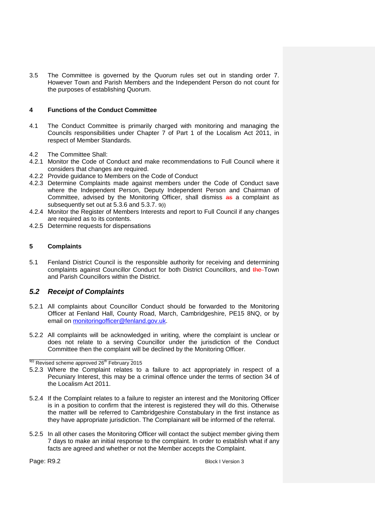3.5 The Committee is governed by the Quorum rules set out in standing order 7. However Town and Parish Members and the Independent Person do not count for the purposes of establishing Quorum.

### **4 Functions of the Conduct Committee**

- 4.1 The Conduct Committee is primarily charged with monitoring and managing the Councils responsibilities under Chapter 7 of Part 1 of the Localism Act 2011, in respect of Member Standards.
- 4.2 The Committee Shall:
- 4.2.1 Monitor the Code of Conduct and make recommendations to Full Council where it considers that changes are required.
- 4.2.2 Provide guidance to Members on the Code of Conduct
- 4.2.3 Determine Complaints made against members under the Code of Conduct save where the Independent Person, Deputy Independent Person and Chairman of Committee, advised by the Monitoring Officer, shall dismiss as a complaint as subsequently set out at 5.3.6 and 5.3.7. 9(i)
- 4.2.4 Monitor the Register of Members Interests and report to Full Council if any changes are required as to its contents.
- 4.2.5 Determine requests for dispensations

### **5 Complaints**

5.1 Fenland District Council is the responsible authority for receiving and determining complaints against Councillor Conduct for both District Councillors, and the Town and Parish Councillors within the District.

### *5.2 Receipt of Complaints*

- 5.2.1 All complaints about Councillor Conduct should be forwarded to the Monitoring Officer at Fenland Hall, County Road, March, Cambridgeshire, PE15 8NQ, or by email on [monitoringofficer@fenland.gov.uk.](mailto:monitoringofficer@fenland.gov.uk)
- 5.2.2 All complaints will be acknowledged in writing, where the complaint is unclear or does not relate to a serving Councillor under the jurisdiction of the Conduct Committee then the complaint will be declined by the Monitoring Officer.

- 5.2.3 Where the Complaint relates to a failure to act appropriately in respect of a Pecuniary Interest, this may be a criminal offence under the terms of section 34 of the Localism Act 2011.
- 5.2.4 If the Complaint relates to a failure to register an interest and the Monitoring Officer is in a position to confirm that the interest is registered they will do this. Otherwise the matter will be referred to Cambridgeshire Constabulary in the first instance as they have appropriate jurisdiction. The Complainant will be informed of the referral.
- 5.2.5 In all other cases the Monitoring Officer will contact the subject member giving them 7 days to make an initial response to the complaint. In order to establish what if any facts are agreed and whether or not the Member accepts the Complaint.

Page: R9.2 **Block I Version 3** Block I Version 3

\_\_\_\_\_\_\_\_\_\_\_\_\_\_\_\_\_\_\_\_\_\_\_\_\_\_\_\_\_\_  $^{9(i)}$  Revised scheme approved 26<sup>th</sup> February 2015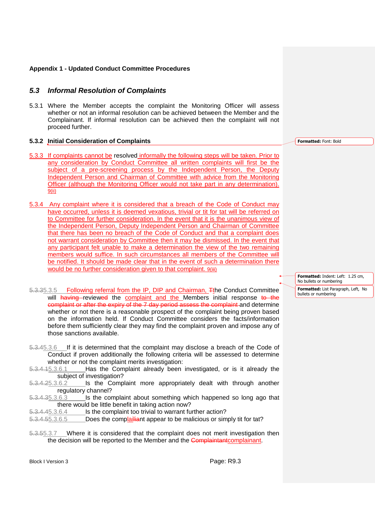### *5.3 Informal Resolution of Complaints*

5.3.1 Where the Member accepts the complaint the Monitoring Officer will assess whether or not an informal resolution can be achieved between the Member and the Complainant. If informal resolution can be achieved then the complaint will not proceed further.

#### **5.3.2 Initial Consideration of Complaints**

- 5.3.3 If complaints cannot be resolved informally the following steps will be taken. Prior to any consideration by Conduct Committee all written complaints will first be the subject of a pre-screening process by the Independent Person, the Deputy Independent Person and Chairman of Committee with advice from the Monitoring Officer (although the Monitoring Officer would not take part in any determination). 9(ii)
- 5.3.4 Any complaint where it is considered that a breach of the Code of Conduct may have occurred, unless it is deemed vexatious, trivial or tit for tat will be referred on to Committee for further consideration. In the event that it is the unanimous view of the Independent Person, Deputy Independent Person and Chairman of Committee that there has been no breach of the Code of Conduct and that a complaint does not warrant consideration by Committee then it may be dismissed. In the event that any participant felt unable to make a determination the view of the two remaining members would suffice. In such circumstances all members of the Committee will be notified. It should be made clear that in the event of such a determination there would be no further consideration given to that complaint. 9(iii)
- 5.3.35.3.5 Following referral from the IP, DIP and Chairman, Tthe Conduct Committee will having reviewed the complaint and the Members initial response to the complaint or after the expiry of the 7 day period assess the complaint and determine whether or not there is a reasonable prospect of the complaint being proven based on the information held. If Conduct Committee considers the facts/information before them sufficiently clear they may find the complaint proven and impose any of those sanctions available.
- 5.3.45.3.6 If it is determined that the complaint may disclose a breach of the Code of Conduct if proven additionally the following criteria will be assessed to determine whether or not the complaint merits investigation:<br>5.3.4.45.3.6.1 Has the Complaint already been
- Has the Complaint already been investigated, or is it already the subject of investigation?
- 5.3.4.25.3.6.2 Is the Complaint more appropriately dealt with through another regulatory channel?
- 5.3.4.35.3.6.3 Is the complaint about something which happened so long ago that there would be little benefit in taking action now?
- 5.3.4.45.3.6.4 Is the complaint too trivial to warrant further action?
- 5.3.4.55.3.6.5 Does the complail and appear to be malicious or simply tit for tat?
- 5.3.55.3.7 Where it is considered that the complaint does not merit investigation then the decision will be reported to the Member and the Complaintantcomplainant.

Block I Version 3 **Page: R9.3** 

**Formatted:** Font: Bold

**Formatted:** Indent: Left: 1.25 cm, No bullets or numbering

**Formatted:** List Paragraph, Left, No bullets or numbering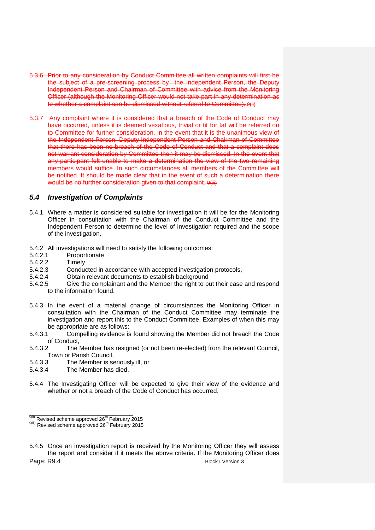- 5.3.6 Prior to any consideration by Conduct Committee all written complaints will first be the subject of a pre-screening process by the Independent Person, the Deputy Independent Person and Chairman of Committee with advice from the Monitoring Officer (although the Monitoring Officer would not take part in any determination as to whether a complaint can be dismissed without referral to Committee). 9(ii)
- 5.3.7 Any complaint where it is considered that a breach of the Code of Conduct may have occurred, unless it is deemed vexatious, trivial or tit for tat will be referred on to Committee for further consideration. In the event that it is the unanimous view of the Independent Person, Deputy Independent Person and Chairman of Committee that there has been no breach of the Code of Conduct and that a complaint does not warrant consideration by Committee then it may be dismissed. In the event that any participant felt unable to make a determination the view of the two remaining members would suffice. In such circumstances all members of the Committee will be notified. It should be made clear that in the event of such a determination there would be no further consideration given to that complaint.  $9$ (iii)

### *5.4 Investigation of Complaints*

- 5.4.1 Where a matter is considered suitable for investigation it will be for the Monitoring Officer in consultation with the Chairman of the Conduct Committee and the Independent Person to determine the level of investigation required and the scope of the investigation.
- <span id="page-5-0"></span>5.4.2 All investigations will need to satisfy the following outcomes:<br>5.4.2.1 Proportionate
- **Proportionate**
- 5.4.2.2 Timely
- 5.4.2.3 Conducted in accordance with accepted investigation protocols,
- 5.4.2.4 Obtain relevant documents to establish background
- 5.4.2.5 Give the complainant and the Member the right to put their case and respond to the information found.
- 5.4.3 In the event of a material change of circumstances the Monitoring Officer in consultation with the Chairman of the Conduct Committee may terminate the investigation and report this to the Conduct Committee. Examples of when this may be appropriate are as follows:
- 5.4.3.1 Compelling evidence is found showing the Member did not breach the Code of Conduct,<br>5.4.3.2 The
- The Member has resigned (or not been re-elected) from the relevant Council, Town or Parish Council,
- 5.4.3.3 The Member is seriously ill, or
- 5.4.3.4 The Member has died.
- 5.4.4 The Investigating Officer will be expected to give their view of the evidence and whether or not a breach of the Code of Conduct has occurred.

\_\_\_\_\_\_\_\_\_\_\_\_\_\_\_\_\_\_\_\_\_\_\_\_\_\_\_\_\_\_

 $\frac{9(ii)}{ii}$  Revised scheme approved 26<sup>th</sup> February 2015

<sup>9(</sup>iii) Revised scheme approved 26<sup>th</sup> February 2015

Page: R9.4 Block I Version 3 5.4.5 Once an investigation report is received by the Monitoring Officer they will assess the report and consider if it meets the above criteria. If the Monitoring Officer does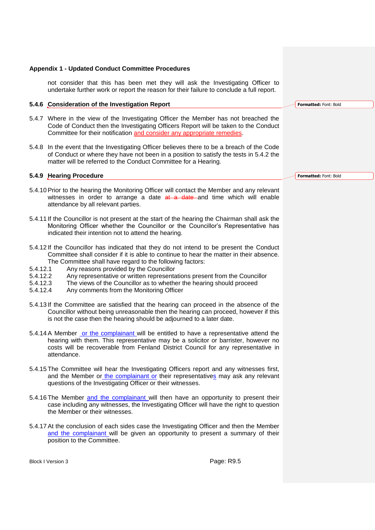not consider that this has been met they will ask the Investigating Officer to undertake further work or report the reason for their failure to conclude a full report.

#### **5.4.6 Consideration of the Investigation Report**

- 5.4.7 Where in the view of the Investigating Officer the Member has not breached the Code of Conduct then the Investigating Officers Report will be taken to the Conduct Committee for their notification and consider any appropriate remedies.
- 5.4.8 In the event that the Investigating Officer believes there to be a breach of the Code of Conduct or where they have not been in a position to satisfy the tests in [5.4.2](#page-5-0) the matter will be referred to the Conduct Committee for a Hearing.

#### **5.4.9 Hearing Procedure**

- 5.4.10Prior to the hearing the Monitoring Officer will contact the Member and any relevant witnesses in order to arrange a date  $at$  a date and time which will enable attendance by all relevant parties.
- 5.4.11 If the Councillor is not present at the start of the hearing the Chairman shall ask the Monitoring Officer whether the Councillor or the Councillor's Representative has indicated their intention not to attend the hearing.
- 5.4.12 If the Councillor has indicated that they do not intend to be present the Conduct Committee shall consider if it is able to continue to hear the matter in their absence. The Committee shall have regard to the following factors:<br>5.4.12.1 Any reasons provided by the Councillor
- 5.4.12.1 Any reasons provided by the Councillor<br>5.4.12.2 Any representative or written representa
- Any representative or written representations present from the Councillor
- 5.4.12.3 The views of the Councillor as to whether the hearing should proceed
- 5.4.12.4 Any comments from the Monitoring Officer
- 5.4.13 If the Committee are satisfied that the hearing can proceed in the absence of the Councillor without being unreasonable then the hearing can proceed, however if this is not the case then the hearing should be adjourned to a later date.
- 5.4.14 A Member or the complainant will be entitled to have a representative attend the hearing with them. This representative may be a solicitor or barrister, however no costs will be recoverable from Fenland District Council for any representative in attendance.
- 5.4.15 The Committee will hear the Investigating Officers report and any witnesses first, and the Member or the complainant or their representatives may ask any relevant questions of the Investigating Officer or their witnesses.
- 5.4.16 The Member and the complainant will then have an opportunity to present their case including any witnesses, the Investigating Officer will have the right to question the Member or their witnesses.
- 5.4.17At the conclusion of each sides case the Investigating Officer and then the Member and the complainant will be given an opportunity to present a summary of their position to the Committee.

Block I Version 3 **Page: R9.5** 

**Formatted:** Font: Bold

**Formatted:** Font: Bold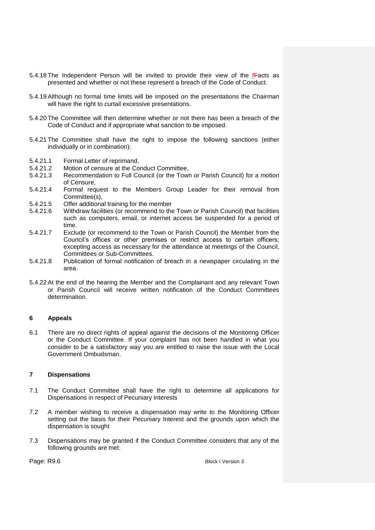- 5.4.18 The Independent Person will be invited to provide their view of the  $f$ Facts as presented and whether or not these represent a breach of the Code of Conduct.
- 5.4.19Although no formal time limits will be imposed on the presentations the Chairman will have the right to curtail excessive presentations.
- 5.4.20 The Committee will then determine whether or not there has been a breach of the Code of Conduct and if appropriate what sanction to be imposed.
- 5.4.21 The Committee shall have the right to impose the following sanctions (either individually or in combination):
- 5.4.21.1 Formal Letter of reprimand,<br>5.4.21.2 Motion of censure at the Co
- 5.4.21.2 Motion of censure at the Conduct Committee,<br>5.4.21.3 Recommendation to Full Council (or the Town
- Recommendation to Full Council (or the Town or Parish Council) for a motion of Censure,
- 5.4.21.4 Formal request to the Members Group Leader for their removal from Committee(s),
- 5.4.21.5 Offer additional training for the member
- 5.4.21.6 Withdraw facilities (or recommend to the Town or Parish Council) that facilities such as computers, email, or internet access be suspended for a period of time.
- 5.4.21.7 Exclude (or recommend to the Town or Parish Council) the Member from the Council's offices or other premises or restrict access to certain officers; excepting access as necessary for the attendance at meetings of the Council, Committees or Sub-Committees.
- 5.4.21.8 Publication of formal notification of breach in a newspaper circulating in the area.
- 5.4.22At the end of the hearing the Member and the Complainant and any relevant Town or Parish Council will receive written notification of the Conduct Committees determination.

### **6 Appeals**

6.1 There are no direct rights of appeal against the decisions of the Monitoring Officer or the Conduct Committee. If your complaint has not been handled in what you consider to be a satisfactory way you are entitled to raise the issue with the Local Government Ombudsman.

### **7 Dispensations**

- 7.1 The Conduct Committee shall have the right to determine all applications for Dispensations in respect of Pecuniary Interests
- 7.2 A member wishing to receive a dispensation may write to the Monitoring Officer setting out the basis for their Pecuniary Interest and the grounds upon which the dispensation is sought
- 7.3 Dispensations may be granted if the Conduct Committee considers that any of the following grounds are met:

Page: R9.6 Block I Version 3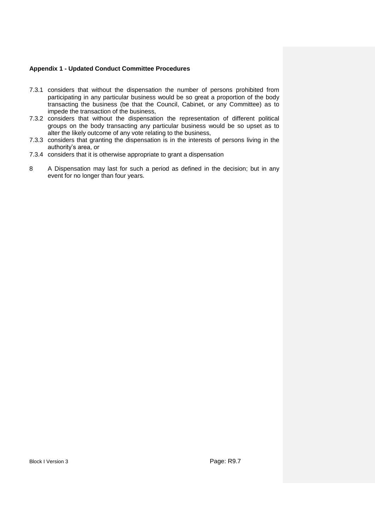- 7.3.1 considers that without the dispensation the number of persons prohibited from participating in any particular business would be so great a proportion of the body transacting the business (be that the Council, Cabinet, or any Committee) as to impede the transaction of the business,
- 7.3.2 considers that without the dispensation the representation of different political groups on the body transacting any particular business would be so upset as to alter the likely outcome of any vote relating to the business,
- 7.3.3 considers that granting the dispensation is in the interests of persons living in the authority's area, or
- 7.3.4 considers that it is otherwise appropriate to grant a dispensation
- 8 A Dispensation may last for such a period as defined in the decision; but in any event for no longer than four years.